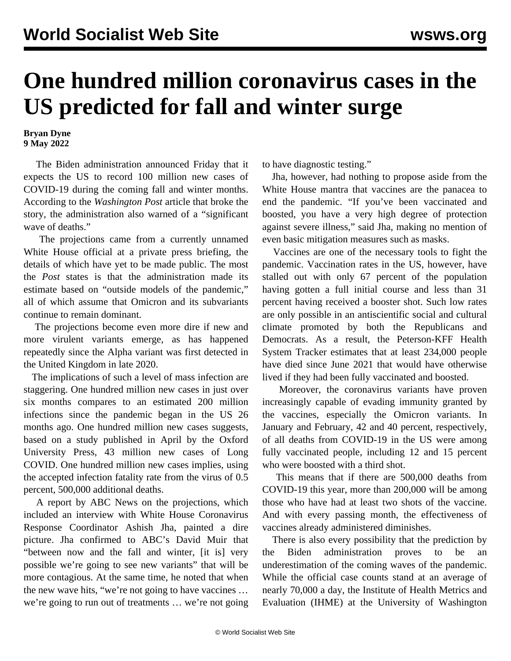## **One hundred million coronavirus cases in the US predicted for fall and winter surge**

**Bryan Dyne 9 May 2022**

 The Biden administration announced Friday that it expects the US to record 100 million new cases of COVID-19 during the coming fall and winter months. According to the *Washington Post* article that broke the story, the administration also warned of a "significant wave of deaths."

 The projections came from a currently unnamed White House official at a private press briefing, the details of which have yet to be made public. The most the *Post* states is that the administration made its estimate based on "outside models of the pandemic," all of which assume that Omicron and its subvariants continue to remain dominant.

 The projections become even more dire if new and more virulent variants emerge, as has happened repeatedly since the Alpha variant was first detected in the United Kingdom in late 2020.

 The implications of such a level of mass infection are staggering. One hundred million new cases in just over six months compares to an estimated 200 million infections since the pandemic began in the US 26 months ago. One hundred million new cases suggests, based on a [study](https://www.ncbi.nlm.nih.gov/pmc/articles/PMC9047189/) published in April by the Oxford University Press, 43 million new cases of Long COVID. One hundred million new cases implies, using the accepted infection fatality rate from the virus of 0.5 percent, 500,000 additional deaths.

 A report by ABC News on the projections, which included an interview with White House Coronavirus Response Coordinator Ashish Jha, painted a dire picture. Jha confirmed to ABC's David Muir that "between now and the fall and winter, [it is] very possible we're going to see new variants" that will be more contagious. At the same time, he noted that when the new wave hits, "we're not going to have vaccines … we're going to run out of treatments … we're not going

to have diagnostic testing."

 Jha, however, had nothing to propose aside from the White House mantra that vaccines are the panacea to end the pandemic. "If you've been vaccinated and boosted, you have a very high degree of protection against severe illness," said Jha, making no mention of even basic mitigation measures such as masks.

 Vaccines are one of the necessary tools to fight the pandemic. Vaccination rates in the US, however, have stalled out with only 67 percent of the population having gotten a full initial course and less than 31 percent having received a booster shot. Such low rates are only possible in an antiscientific social and cultural climate promoted by both the Republicans and Democrats. As a result, the Peterson-KFF Health System Tracker estimates that at least 234,000 people have died since June 2021 that would have otherwise lived if they had been fully vaccinated and boosted.

 Moreover, the coronavirus variants have proven increasingly capable of evading immunity granted by the vaccines, especially the Omicron variants. In January and February, 42 and 40 percent, respectively, of all deaths from COVID-19 in the US were among fully vaccinated people, including 12 and 15 percent who were boosted with a third shot.

 This means that if there are 500,000 deaths from COVID-19 this year, more than 200,000 will be among those who have had at least two shots of the vaccine. And with every passing month, the effectiveness of vaccines already administered diminishes.

 There is also every possibility that the prediction by the Biden administration proves to be an underestimation of the coming waves of the pandemic. While the official case counts stand at an average of nearly 70,000 a day, the Institute of Health Metrics and Evaluation (IHME) at the University of Washington